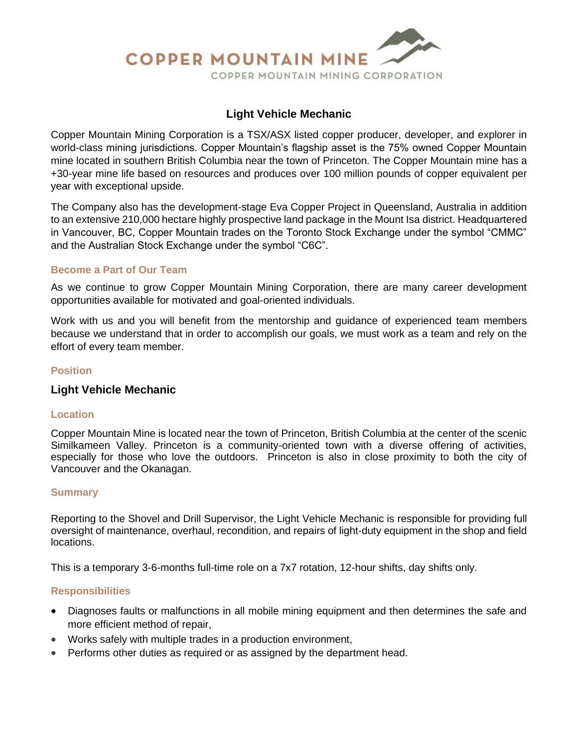

# **Light Vehicle Mechanic**

Copper Mountain Mining Corporation is a TSX/ASX listed copper producer, developer, and explorer in world-class mining jurisdictions. Copper Mountain's flagship asset is the 75% owned Copper Mountain mine located in southern British Columbia near the town of Princeton. The Copper Mountain mine has a +30-year mine life based on resources and produces over 100 million pounds of copper equivalent per year with exceptional upside.

The Company also has the development-stage Eva Copper Project in Queensland, Australia in addition to an extensive 210,000 hectare highly prospective land package in the Mount Isa district. Headquartered in Vancouver, BC, Copper Mountain trades on the Toronto Stock Exchange under the symbol "CMMC" and the Australian Stock Exchange under the symbol "C6C".

## **Become a Part of Our Team**

As we continue to grow Copper Mountain Mining Corporation, there are many career development opportunities available for motivated and goal-oriented individuals.

Work with us and you will benefit from the mentorship and guidance of experienced team members because we understand that in order to accomplish our goals, we must work as a team and rely on the effort of every team member.

## **Position**

## **Light Vehicle Mechanic**

#### **Location**

Copper Mountain Mine is located near the town of Princeton, British Columbia at the center of the scenic Similkameen Valley. Princeton is a community-oriented town with a diverse offering of activities, especially for those who love the outdoors. Princeton is also in close proximity to both the city of Vancouver and the Okanagan.

#### **Summary**

Reporting to the Shovel and Drill Supervisor, the Light Vehicle Mechanic is responsible for providing full oversight of maintenance, overhaul, recondition, and repairs of light-duty equipment in the shop and field locations.

This is a temporary 3-6-months full-time role on a 7x7 rotation, 12-hour shifts, day shifts only.

#### **Responsibilities**

- Diagnoses faults or malfunctions in all mobile mining equipment and then determines the safe and more efficient method of repair,
- Works safely with multiple trades in a production environment,
- Performs other duties as required or as assigned by the department head.